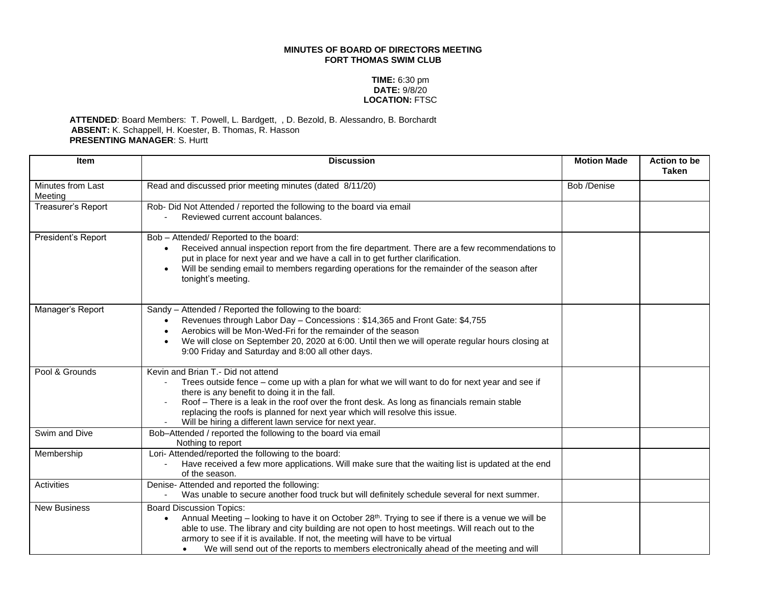## **MINUTES OF BOARD OF DIRECTORS MEETING FORT THOMAS SWIM CLUB**

## **TIME:** 6:30 pm **DATE:** 9/8/20 **LOCATION:** FTSC

## **ATTENDED**: Board Members: T. Powell, L. Bardgett, , D. Bezold, B. Alessandro, B. Borchardt **ABSENT:** K. Schappell, H. Koester, B. Thomas, R. Hasson **PRESENTING MANAGER**: S. Hurtt

| <b>Item</b>                  | <b>Discussion</b>                                                                                                                                                                                                                                                                                                                                                                                                                             | <b>Motion Made</b> | Action to be<br><b>Taken</b> |
|------------------------------|-----------------------------------------------------------------------------------------------------------------------------------------------------------------------------------------------------------------------------------------------------------------------------------------------------------------------------------------------------------------------------------------------------------------------------------------------|--------------------|------------------------------|
| Minutes from Last<br>Meeting | Read and discussed prior meeting minutes (dated 8/11/20)                                                                                                                                                                                                                                                                                                                                                                                      | Bob /Denise        |                              |
| Treasurer's Report           | Rob- Did Not Attended / reported the following to the board via email<br>Reviewed current account balances.                                                                                                                                                                                                                                                                                                                                   |                    |                              |
| President's Report           | Bob - Attended/ Reported to the board:<br>Received annual inspection report from the fire department. There are a few recommendations to<br>$\bullet$<br>put in place for next year and we have a call in to get further clarification.<br>Will be sending email to members regarding operations for the remainder of the season after<br>tonight's meeting.                                                                                  |                    |                              |
| Manager's Report             | Sandy - Attended / Reported the following to the board:<br>Revenues through Labor Day - Concessions: \$14,365 and Front Gate: \$4,755<br>$\bullet$<br>Aerobics will be Mon-Wed-Fri for the remainder of the season<br>We will close on September 20, 2020 at 6:00. Until then we will operate regular hours closing at<br>9:00 Friday and Saturday and 8:00 all other days.                                                                   |                    |                              |
| Pool & Grounds               | Kevin and Brian T.- Did not attend<br>Trees outside fence - come up with a plan for what we will want to do for next year and see if<br>there is any benefit to doing it in the fall.<br>Roof - There is a leak in the roof over the front desk. As long as financials remain stable<br>replacing the roofs is planned for next year which will resolve this issue.<br>Will be hiring a different lawn service for next year.                 |                    |                              |
| Swim and Dive                | Bob-Attended / reported the following to the board via email<br>Nothing to report                                                                                                                                                                                                                                                                                                                                                             |                    |                              |
| Membership                   | Lori- Attended/reported the following to the board:<br>Have received a few more applications. Will make sure that the waiting list is updated at the end<br>of the season.                                                                                                                                                                                                                                                                    |                    |                              |
| <b>Activities</b>            | Denise- Attended and reported the following:<br>Was unable to secure another food truck but will definitely schedule several for next summer.                                                                                                                                                                                                                                                                                                 |                    |                              |
| <b>New Business</b>          | <b>Board Discussion Topics:</b><br>Annual Meeting – looking to have it on October 28 <sup>th</sup> . Trying to see if there is a venue we will be<br>$\bullet$<br>able to use. The library and city building are not open to host meetings. Will reach out to the<br>armory to see if it is available. If not, the meeting will have to be virtual<br>We will send out of the reports to members electronically ahead of the meeting and will |                    |                              |